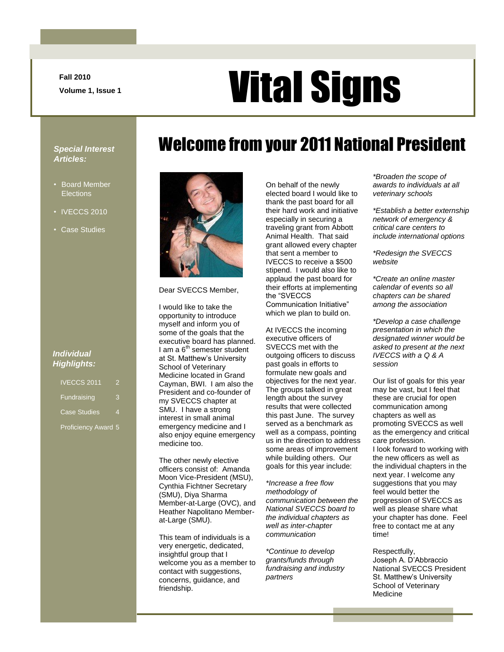**Fall 2010**

# **Vital Signs**

Welcome from your 2011 National President

#### *Special Interest Articles:*

- Board Member **Elections**
- **IVECCS 2010**
- Case Studies

#### *Individual Highlights:*

IVECCS 2011 2 Fundraising 3 Case Studies 4

Proficiency Award 5



Dear SVECCS Member,

I would like to take the opportunity to introduce myself and inform you of some of the goals that the executive board has planned. I am a  $6<sup>th</sup>$  semester student at St. Matthew"s University School of Veterinary Medicine located in Grand Cayman, BWI. I am also the President and co-founder of my SVECCS chapter at SMU. I have a strong interest in small animal emergency medicine and I also enjoy equine emergency medicine too.

The other newly elective officers consist of: Amanda Moon Vice-President (MSU), Cynthia Fichtner Secretary (SMU), Diya Sharma Member-at-Large (OVC), and Heather Napolitano Memberat-Large (SMU).

This team of individuals is a very energetic, dedicated, insightful group that I welcome you as a member to contact with suggestions, concerns, guidance, and friendship.

On behalf of the newly elected board I would like to thank the past board for all their hard work and initiative especially in securing a traveling grant from Abbott Animal Health. That said grant allowed every chapter that sent a member to IVECCS to receive a \$500 stipend. I would also like to applaud the past board for their efforts at implementing the "SVECCS Communication Initiative" which we plan to build on.

At IVECCS the incoming executive officers of SVECCS met with the outgoing officers to discuss past goals in efforts to formulate new goals and objectives for the next year. The groups talked in great length about the survey results that were collected this past June. The survey served as a benchmark as well as a compass, pointing us in the direction to address some areas of improvement while building others. Our goals for this year include:

*\*Increase a free flow methodology of communication between the National SVECCS board to the individual chapters as well as inter-chapter communication*

*\*Continue to develop grants/funds through fundraising and industry partners*

*\*Broaden the scope of awards to individuals at all veterinary schools*

*\*Establish a better externship network of emergency & critical care centers to include international options*

*\*Redesign the SVECCS website* 

*\*Create an online master calendar of events so all chapters can be shared among the association*

*\*Develop a case challenge presentation in which the designated winner would be asked to present at the next IVECCS with a Q & A session*

Our list of goals for this year may be vast, but I feel that these are crucial for open communication among chapters as well as promoting SVECCS as well as the emergency and critical care profession. I look forward to working with the new officers as well as the individual chapters in the next year. I welcome any suggestions that you may feel would better the progression of SVECCS as well as please share what your chapter has done. Feel free to contact me at any time!

Respectfully, Joseph A. D"Abbraccio National SVECCS President St. Matthew"s University School of Veterinary Medicine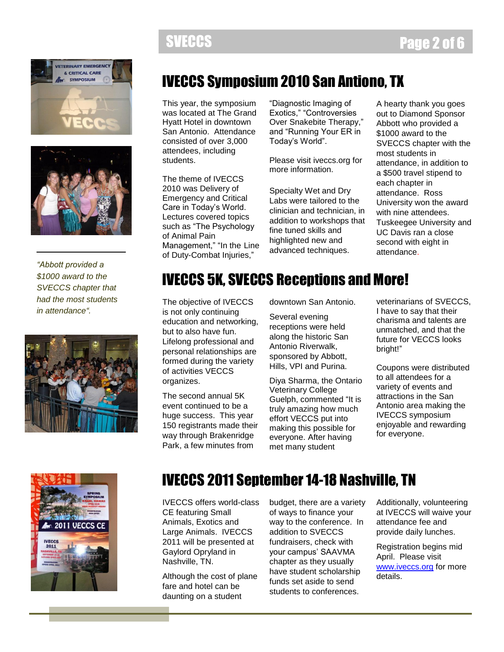



*"Abbott provided a \$1000 award to the SVECCS chapter that had the most students in attendance".*



## IVECCS Symposium 2010 San Antiono, TX

This year, the symposium was located at The Grand Hyatt Hotel in downtown San Antonio. Attendance consisted of over 3,000 attendees, including students.

The theme of IVECCS 2010 was Delivery of Emergency and Critical Care in Today"s World. Lectures covered topics such as "The Psychology of Animal Pain Management," "In the Line of Duty-Combat Injuries,"

"Diagnostic Imaging of Exotics," "Controversies Over Snakebite Therapy," and "Running Your ER in Today"s World".

Please visit iveccs.org for more information.

Specialty Wet and Dry Labs were tailored to the clinician and technician, in addition to workshops that fine tuned skills and highlighted new and advanced techniques.

A hearty thank you goes out to Diamond Sponsor Abbott who provided a \$1000 award to the SVECCS chapter with the most students in attendance, in addition to a \$500 travel stipend to each chapter in attendance. Ross University won the award with nine attendees. Tuskeegee University and UC Davis ran a close second with eight in attendance.

### IVECCS 5K, SVECCS Receptions and More!

The objective of IVECCS is not only continuing education and networking, but to also have fun. Lifelong professional and personal relationships are formed during the variety of activities VECCS organizes.

The second annual 5K event continued to be a huge success. This year 150 registrants made their way through Brakenridge Park, a few minutes from

downtown San Antonio.

Several evening receptions were held along the historic San Antonio Riverwalk, sponsored by Abbott, Hills, VPI and Purina.

Diya Sharma, the Ontario Veterinary College Guelph, commented "It is truly amazing how much effort VECCS put into making this possible for everyone. After having met many student

veterinarians of SVECCS, I have to say that their charisma and talents are unmatched, and that the future for VECCS looks bright!"

Coupons were distributed to all attendees for a variety of events and attractions in the San Antonio area making the IVECCS symposium enjoyable and rewarding for everyone.



### IVECCS 2011 September 14-18 Nashville, TN

IVECCS offers world-class CE featuring Small Animals, Exotics and Large Animals. IVECCS 2011 will be presented at Gaylord Opryland in Nashville, TN.

Although the cost of plane fare and hotel can be daunting on a student

budget, there are a variety of ways to finance your way to the conference. In addition to SVECCS fundraisers, check with your campus" SAAVMA chapter as they usually have student scholarship funds set aside to send students to conferences.

Additionally, volunteering at IVECCS will waive your attendance fee and provide daily lunches.

Registration begins mid April. Please visit [www.iveccs.org](http://www.iveccs.org/) for more details.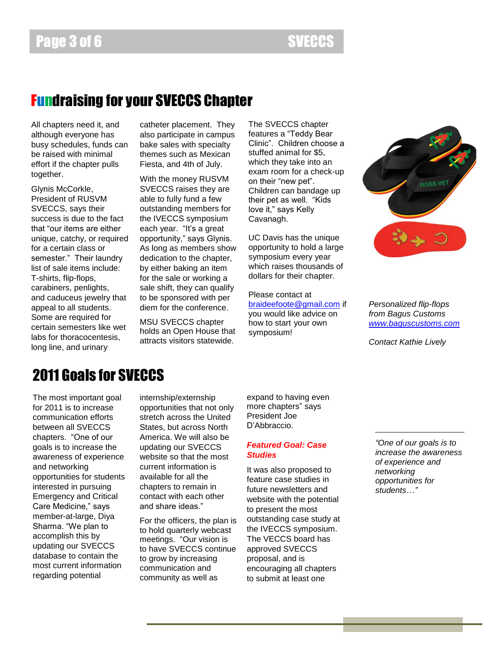#### Fundraising for your SVECCS Chapter

All chapters need it, and although everyone has busy schedules, funds can be raised with minimal effort if the chapter pulls together.

Glynis McCorkle, President of RUSVM SVECCS, says their success is due to the fact that "our items are either unique, catchy, or required for a certain class or semester." Their laundry list of sale items include: T-shirts, flip-flops, carabiners, penlights, and caduceus jewelry that appeal to all students. Some are required for certain semesters like wet labs for thoracocentesis, long line, and urinary

catheter placement. They also participate in campus bake sales with specialty themes such as Mexican Fiesta, and 4th of July.

With the money RUSVM SVECCS raises they are able to fully fund a few outstanding members for the IVECCS symposium each year. "It's a great opportunity," says Glynis. As long as members show dedication to the chapter, by either baking an item for the sale or working a sale shift, they can qualify to be sponsored with per diem for the conference.

MSU SVECCS chapter holds an Open House that attracts visitors statewide.

The SVECCS chapter features a "Teddy Bear Clinic". Children choose a stuffed animal for \$5, which they take into an exam room for a check-up on their "new pet". Children can bandage up their pet as well. "Kids love it," says Kelly Cavanagh.

UC Davis has the unique opportunity to hold a large symposium every year which raises thousands of dollars for their chapter.

Please contact at [braideefoote@gmail.com](mailto:braideefoote@gmail.com) if you would like advice on how to start your own symposium!



*Personalized flip-flops from Bagus Customs [www.baguscustoms.com](http://www.baguscustoms.com/)*

*Contact Kathie Lively*

### 2011 Goals for SVECCS

The most important goal for 2011 is to increase communication efforts between all SVECCS chapters. "One of our goals is to increase the awareness of experience and networking opportunities for students interested in pursuing Emergency and Critical Care Medicine," says member-at-large, Diya Sharma. "We plan to accomplish this by updating our SVECCS database to contain the most current information regarding potential

internship/externship opportunities that not only stretch across the United States, but across North America. We will also be updating our SVECCS website so that the most current information is available for all the chapters to remain in contact with each other and share ideas."

For the officers, the plan is to hold quarterly webcast meetings. "Our vision is to have SVECCS continue to grow by increasing communication and community as well as

expand to having even more chapters" says President Joe D"Abbraccio.

#### *Featured Goal: Case Studies*

It was also proposed to feature case studies in future newsletters and website with the potential to present the most outstanding case study at the IVECCS symposium. The VECCS board has approved SVECCS proposal, and is encouraging all chapters to submit at least one

*"One of our goals is to increase the awareness of experience and networking opportunities for students…"*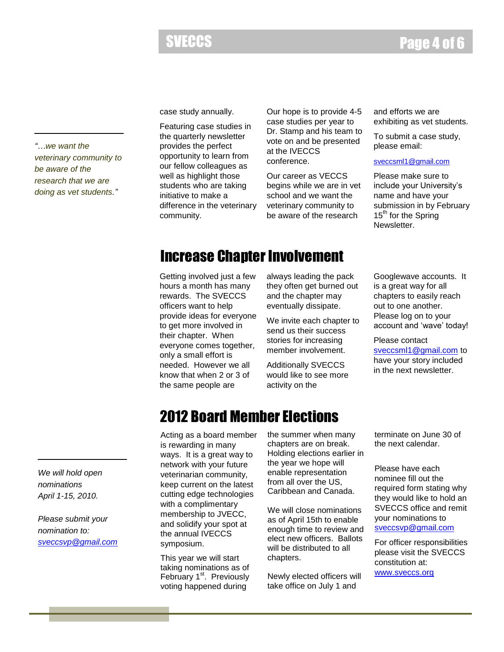#### SVECCS **Page 4 of 6**

*"…we want the veterinary community to be aware of the research that we are doing as vet students."*

case study annually.

Featuring case studies in the quarterly newsletter provides the perfect opportunity to learn from our fellow colleagues as well as highlight those students who are taking initiative to make a difference in the veterinary community.

Our hope is to provide 4-5 case studies per year to Dr. Stamp and his team to vote on and be presented at the IVECCS conference.

Our career as VECCS begins while we are in vet school and we want the veterinary community to be aware of the research

and efforts we are exhibiting as vet students.

To submit a case study, please email:

[sveccsml1@gmail.com](mailto:hnapolitano@sbcglobal.net)

Please make sure to include your University's name and have your submission in by February 15<sup>th</sup> for the Spring Newsletter.

#### Increase Chapter Involvement

Getting involved just a few hours a month has many rewards. The SVECCS officers want to help provide ideas for everyone to get more involved in their chapter. When everyone comes together, only a small effort is needed. However we all know that when 2 or 3 of the same people are

always leading the pack they often get burned out and the chapter may eventually dissipate.

We invite each chapter to send us their success stories for increasing member involvement.

Additionally SVECCS would like to see more activity on the

Googlewave accounts. It is a great way for all chapters to easily reach out to one another. Please log on to your account and 'wave' today!

Please contact [sveccsml1@gmail.com](mailto:sveccsml1@gmail.com) to have your story included in the next newsletter.

### 2012 Board Member Elections

Acting as a board member is rewarding in many ways. It is a great way to network with your future veterinarian community, keep current on the latest cutting edge technologies with a complimentary membership to JVECC, and solidify your spot at the annual IVECCS symposium.

This year we will start taking nominations as of February 1<sup>st</sup>. Previously voting happened during

the summer when many chapters are on break. Holding elections earlier in the year we hope will enable representation from all over the US, Caribbean and Canada.

We will close nominations as of April 15th to enable enough time to review and elect new officers. Ballots will be distributed to all chapters.

Newly elected officers will take office on July 1 and

terminate on June 30 of the next calendar.

Please have each nominee fill out the required form stating why they would like to hold an SVECCS office and remit your nominations to [sveccsvp@gmail.com](mailto:sveccsvp@gmail.com)

For officer responsibilities please visit the SVECCS constitution at:

[www.sveccs.org](http://www.sveccs.org/)

*We will hold open nominations April 1-15, 2010.*

*Please submit your nomination to: [sveccsvp@gmail.com](mailto:sveccsvp@gmail.com)*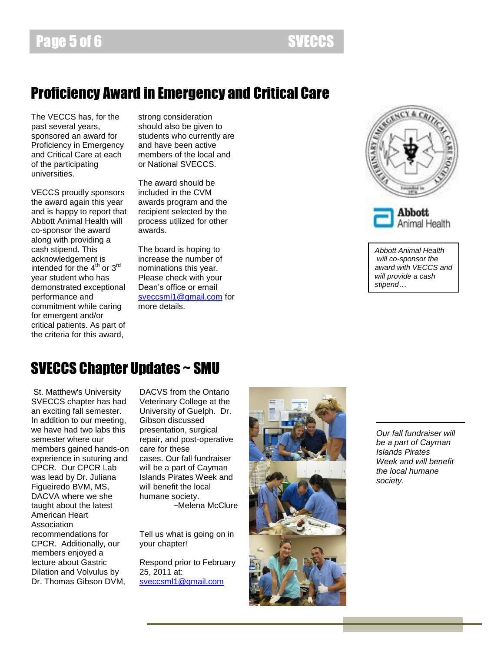#### Proficiency Award in Emergency and Critical Care

The VECCS has, for the past several years, sponsored an award for Proficiency in Emergency and Critical Care at each of the participating universities.

VECCS proudly sponsors the award again this year and is happy to report that Abbott Animal Health will co-sponsor the award along with providing a cash stipend. This acknowledgement is intended for the  $4^{th}$  or  $3^{rd}$ year student who has demonstrated exceptional performance and commitment while caring for emergent and/or critical patients. As part of the criteria for this award,

strong consideration should also be given to students who currently are and have been active members of the local and or National SVECCS.

The award should be included in the CVM awards program and the recipient selected by the process utilized for other awards.

The board is hoping to increase the number of nominations this year. Please check with your Dean"s office or email [sveccsml1@gmail.com](mailto:sveccsml1@gmail.com) for more details.



*Abbott Animal Health will co-sponsor the award with VECCS and will provide a cash stipend…*

#### SVECCS Chapter Updates ~ SMU

St. Matthew's University SVECCS chapter has had an exciting fall semester. In addition to our meeting, we have had two labs this semester where our members gained hands-on experience in suturing and CPCR. Our CPCR Lab was lead by Dr. Juliana Figueiredo BVM, MS, DACVA where we she taught about the latest American Heart Association recommendations for CPCR. Additionally, our members enjoyed a lecture about Gastric Dilation and Volvulus by Dr. Thomas Gibson DVM,

DACVS from the Ontario Veterinary College at the University of Guelph. Dr. Gibson discussed presentation, surgical repair, and post-operative care for these cases. Our fall fundraiser will be a part of Cayman Islands Pirates Week and will benefit the local humane society.

~Melena McClure

Tell us what is going on in your chapter!

Respond prior to February 25, 2011 at: [sveccsml1@gmail.com](mailto:sveccsml1@gmail.com)

![](_page_4_Picture_16.jpeg)

*Our fall fundraiser will be a part of Cayman Islands Pirates Week and will benefit the local humane society.*